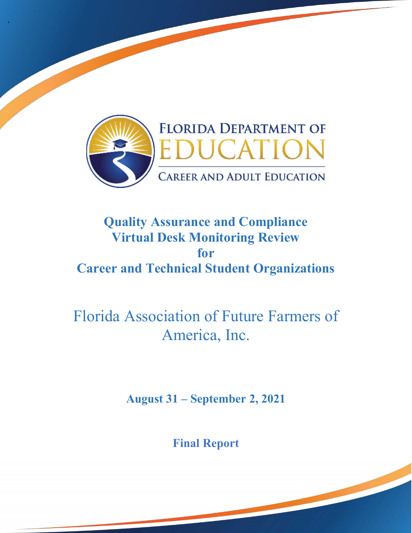

'

## **Quality Assurance and Compliance Virtual Desk Monitoring Review Career and Technical Student Organizations for**

# Florida Association of Future Farmers of America, Inc.

**August 31 – September 2, 2021** 

 **Final Report** 

1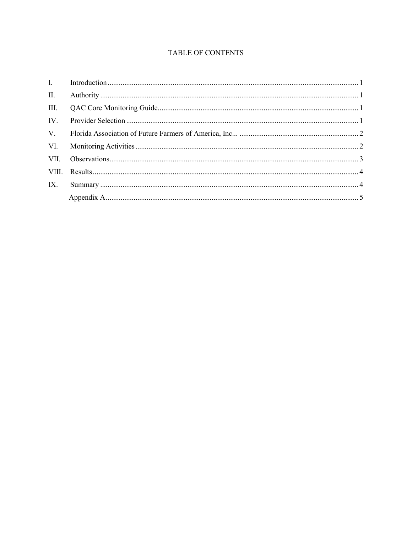#### **TABLE OF CONTENTS**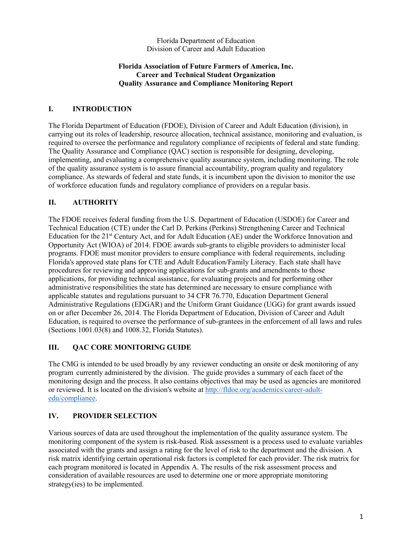Florida Department of Education Division of Career and Adult Education

#### **Career and Technical Student Organization Florida Association of Future Farmers of America, Inc. Quality Assurance and Compliance Monitoring Report**

#### **I. INTRODUCTION**

 carrying out its roles of leadership, resource allocation, technical assistance, monitoring and evaluation, is compliance. As stewards of federal and state funds, it is incumbent upon the division to monitor the use The Florida Department of Education (FDOE), Division of Career and Adult Education (division), in required to oversee the performance and regulatory compliance of recipients of federal and state funding. The Quality Assurance and Compliance (QAC) section is responsible for designing, developing, implementing, and evaluating a comprehensive quality assurance system, including monitoring. The role of the quality assurance system is to assure financial accountability, program quality and regulatory of workforce education funds and regulatory compliance of providers on a regular basis.

#### **II. AUTHORITY**

Education for the 21<sup>st</sup> Century Act, and for Adult Education (AE) under the Workforce Innovation and procedures for reviewing and approving applications for sub-grants and amendments to those applicable statutes and regulations pursuant to 34 CFR 76.770, Education Department General Administrative Regulations (EDGAR) and the Uniform Grant Guidance (UGG) for grant awards issued The FDOE receives federal funding from the U.S. Department of Education (USDOE) for Career and Technical Education (CTE) under the Carl D. Perkins (Perkins) Strengthening Career and Technical Opportunity Act (WIOA) of 2014. FDOE awards sub-grants to eligible providers to administer local programs. FDOE must monitor providers to ensure compliance with federal requirements, including Florida's approved state plans for CTE and Adult Education/Family Literacy. Each state shall have applications, for providing technical assistance, for evaluating projects and for performing other administrative responsibilities the state has determined are necessary to ensure compliance with on or after December 26, 2014. The Florida Department of Education, Division of Career and Adult Education, is required to oversee the performance of sub-grantees in the enforcement of all laws and rules (Sections 1001.03(8) and 1008.32, Florida Statutes).

#### **III. QAC CORE MONITORING GUIDE**

 The CMG is intended to be used broadly by any reviewer conducting an onsite or desk monitoring of any program currently administered by the division. The guide provides a summary of each facet of the monitoring design and the process. It also contains objectives that may be used as agencies are monitored or reviewed. It is located on the division's website at [http://fldoe.org/academics/career-adult](http://fldoe.org/academics/career-adult-edu/compliance)[edu/compliance.](http://fldoe.org/academics/career-adult-edu/compliance)

#### **IV. PROVIDER SELECTION**

 Various sources of data are used throughout the implementation of the quality assurance system. The monitoring component of the system is risk-based. Risk assessment is a process used to evaluate variables associated with the grants and assign a rating for the level of risk to the department and the division. A risk matrix identifying certain operational risk factors is completed for each provider. The risk matrix for consideration of available resources are used to determine one or more appropriate monitoring each program monitored is located in Appendix A. The results of the risk assessment process and strategy(ies) to be implemented.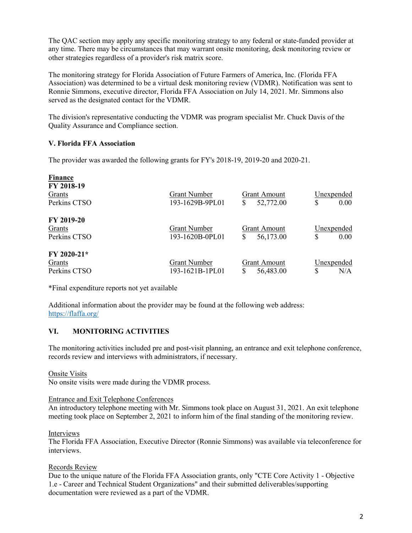The QAC section may apply any specific monitoring strategy to any federal or state-funded provider at any time. There may be circumstances that may warrant onsite monitoring, desk monitoring review or other strategies regardless of a provider's risk matrix score.

The monitoring strategy for Florida Association of Future Farmers of America, Inc. (Florida FFA Association) was determined to be a virtual desk monitoring review (VDMR). Notification was sent to Ronnie Simmons, executive director, Florida FFA Association on July 14, 2021. Mr. Simmons also served as the designated contact for the VDMR.

The division's representative conducting the VDMR was program specialist Mr. Chuck Davis of the Quality Assurance and Compliance section.

#### **V. Florida FFA Association**

The provider was awarded the following grants for FY's 2018-19, 2019-20 and 2020-21.

| <b>Finance</b><br>FY 2018-19<br>Grants<br>Perkins CTSO | <b>Grant Number</b><br>193-1629B-9PL01 | Grant Amount<br>52,772.00<br>\$        | Unexpended<br>\$<br>$0.00^{\circ}$ |
|--------------------------------------------------------|----------------------------------------|----------------------------------------|------------------------------------|
| FY 2019-20<br>Grants<br>Perkins CTSO                   | <b>Grant Number</b><br>193-1620B-0PL01 | Grant Amount<br>\$<br>56,173.00        | Unexpended<br>\$<br>0.00           |
| $FY 2020-21*$<br>Grants<br>Perkins CTSO                | <b>Grant Number</b><br>193-1621B-1PL01 | <b>Grant Amount</b><br>\$<br>56,483.00 | Unexpended<br>\$<br>N/A            |

\*Final expenditure reports not yet available

 Additional information about the provider may be found at the following web address: <https://flaffa.org/>

#### **VI. MONITORING ACTIVITIES**

 records review and interviews with administrators, if necessary. The monitoring activities included pre and post-visit planning, an entrance and exit telephone conference,

#### Onsite Visits

No onsite visits were made during the VDMR process.

#### Entrance and Exit Telephone Conferences

An introductory telephone meeting with Mr. Simmons took place on August 31, 2021. An exit telephone meeting took place on September 2, 2021 to inform him of the final standing of the monitoring review.

#### Interviews

The Florida FFA Association, Executive Director (Ronnie Simmons) was available via teleconference for interviews.

#### Records Review

 Due to the unique nature of the Florida FFA Association grants, only "CTE Core Activity 1 - Objective 1.e - Career and Technical Student Organizations" and their submitted deliverables/supporting documentation were reviewed as a part of the VDMR.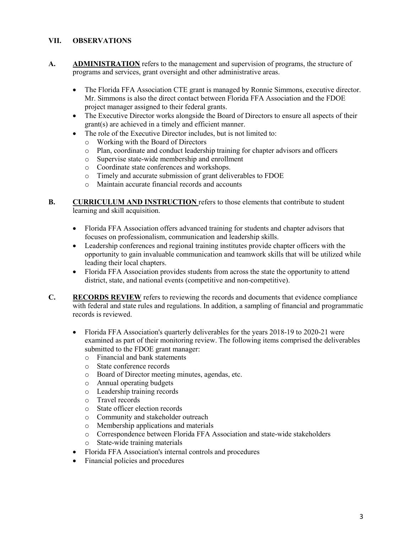#### **VII. OBSERVATIONS**

- A. **ADMINISTRATION** refers to the management and supervision of programs, the structure of programs and services, grant oversight and other administrative areas.
	- Mr. Simmons is also the direct contact between Florida FFA Association and the FDOE • The Florida FFA Association CTE grant is managed by Ronnie Simmons, executive director. project manager assigned to their federal grants.
	- grant(s) are achieved in a timely and efficient manner. • The Executive Director works alongside the Board of Directors to ensure all aspects of their
	- The role of the Executive Director includes, but is not limited to:
		- o Working with the Board of Directors
		- o Plan, coordinate and conduct leadership training for chapter advisors and officers
		- o Supervise state-wide membership and enrollment o Coordinate state conferences and workshops.
		- Coordinate state conferences and workshops.
		- o Timely and accurate submission of grant deliverables to FDOE
		- o Maintain accurate financial records and accounts
- **B. CURRICULUM AND INSTRUCTION** refers to those elements that contribute to student learning and skill acquisition.
	- Florida FFA Association offers advanced training for students and chapter advisors that focuses on professionalism, communication and leadership skills.
	- Leadership conferences and regional training institutes provide chapter officers with the opportunity to gain invaluable communication and teamwork skills that will be utilized while leading their local chapters.
	- district, state, and national events (competitive and non-competitive). • Florida FFA Association provides students from across the state the opportunity to attend
- **C. RECORDS REVIEW** refers to reviewing the records and documents that evidence compliance with federal and state rules and regulations. In addition, a sampling of financial and programmatic records is reviewed.
	- • Florida FFA Association's quarterly deliverables for the years 2018-19 to 2020-21 were examined as part of their monitoring review. The following items comprised the deliverables submitted to the FDOE grant manager:
		- o Financial and bank statements
		- State conference records
		- o Board of Director meeting minutes, agendas, etc.
		- o Annual operating budgets
		- o Leadership training records
		- o Travel records
		- State officer election records
		- o Community and stakeholder outreach
		- o Membership applications and materials
		- o Correspondence between Florida FFA Association and state-wide stakeholders
		- o State-wide training materials
	- Florida FFA Association's internal controls and procedures
	- Financial policies and procedures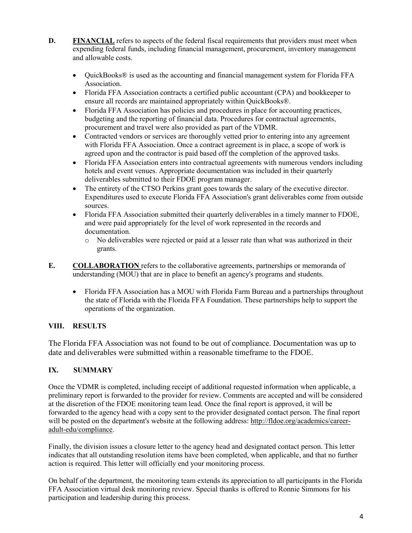- **D.** FINANCIAL refers to aspects of the federal fiscal requirements that providers must meet when expending federal funds, including financial management, procurement, inventory management and allowable costs.
	- QuickBooks<sup>®</sup> is used as the accounting and financial management system for Florida FFA Association.
	- Florida FFA Association contracts a certified public accountant (CPA) and bookkeeper to ensure all records are maintained appropriately within QuickBooks®.
	- Florida FFA Association has policies and procedures in place for accounting practices, budgeting and the reporting of financial data. Procedures for contractual agreements, procurement and travel were also provided as part of the VDMR.
	- • Contracted vendors or services are thoroughly vetted prior to entering into any agreement with Florida FFA Association. Once a contract agreement is in place, a scope of work is agreed upon and the contractor is paid based off the completion of the approved tasks.
	- Florida FFA Association enters into contractual agreements with numerous vendors including hotels and event venues. Appropriate documentation was included in their quarterly deliverables submitted to their FDOE program manager.
	- The entirety of the CTSO Perkins grant goes towards the salary of the executive director. Expenditures used to execute Florida FFA Association's grant deliverables come from outside sources.
	- • Florida FFA Association submitted their quarterly deliverables in a timely manner to FDOE, and were paid appropriately for the level of work represented in the records and documentation.
		- o No deliverables were rejected or paid at a lesser rate than what was authorized in their grants.
- **E. COLLABORATION** refers to the collaborative agreements, partnerships or memoranda of understanding (MOU) that are in place to benefit an agency's programs and students.
	- the state of Florida with the Florida FFA Foundation. These partnerships help to support the • Florida FFA Association has a MOU with Florida Farm Bureau and a partnerships throughout operations of the organization.

#### **VIII. RESULTS**

The Florida FFA Association was not found to be out of compliance. Documentation was up to date and deliverables were submitted within a reasonable timeframe to the FDOE.

### **IX. SUMMARY**

 preliminary report is forwarded to the provider for review. Comments are accepted and will be considered forwarded to the agency head with a copy sent to the provider designated contact person. The final report Once the VDMR is completed, including receipt of additional requested information when applicable, a at the discretion of the FDOE monitoring team lead. Once the final report is approved, it will be will be posted on the department's website at the following address: [http://fldoe.org/academics/career](http://fldoe.org/academics/career-adult-edu/compliance)[adult-edu/compliance.](http://fldoe.org/academics/career-adult-edu/compliance)

Finally, the division issues a closure letter to the agency head and designated contact person. This letter indicates that all outstanding resolution items have been completed, when applicable, and that no further action is required. This letter will officially end your monitoring process.

 FFA Association virtual desk monitoring review. Special thanks is offered to Ronnie Simmons for his participation and leadership during this process. On behalf of the department, the monitoring team extends its appreciation to all participants in the Florida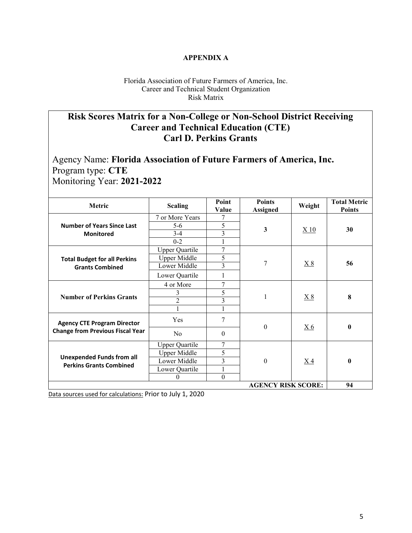#### **APPENDIX A**

Florida Association of Future Farmers of America, Inc. Career and Technical Student Organization Risk Matrix

## **Risk Scores Matrix for a Non-College or Non-School District Receiving Career and Technical Education (CTE) Carl D. Perkins Grants**

 Program type: **CTE**  Monitoring Year: **2021-2022**  Agency Name: **Florida Association of Future Farmers of America, Inc.** 

| Metric                                                             | <b>Scaling</b>        | Point<br>Value          | <b>Points</b><br><b>Assigned</b> | Weight    | <b>Total Metric</b><br><b>Points</b> |  |
|--------------------------------------------------------------------|-----------------------|-------------------------|----------------------------------|-----------|--------------------------------------|--|
|                                                                    | 7 or More Years       | 7                       | $\mathbf{3}$                     | X 10      |                                      |  |
| <b>Number of Years Since Last</b>                                  | $5 - 6$               | 5                       |                                  |           | 30                                   |  |
| <b>Monitored</b>                                                   | $3 - 4$               | 3                       |                                  |           |                                      |  |
|                                                                    | $0 - 2$               |                         |                                  |           |                                      |  |
|                                                                    | <b>Upper Quartile</b> | 7                       | 7                                | X8        |                                      |  |
| <b>Total Budget for all Perkins</b>                                | <b>Upper Middle</b>   | 5                       |                                  |           | 56                                   |  |
| <b>Grants Combined</b>                                             | Lower Middle          | $\overline{\mathbf{3}}$ |                                  |           |                                      |  |
|                                                                    | Lower Quartile        | 1                       |                                  |           |                                      |  |
|                                                                    | 4 or More             | 7                       |                                  | X8        |                                      |  |
|                                                                    | 3                     | 5                       |                                  |           | 8                                    |  |
| <b>Number of Perkins Grants</b>                                    | $\overline{2}$        | 3                       |                                  |           |                                      |  |
|                                                                    |                       |                         |                                  |           |                                      |  |
| <b>Agency CTE Program Director</b>                                 | Yes                   | 7                       | $\theta$                         | <u>X6</u> | $\bf{0}$                             |  |
| <b>Change from Previous Fiscal Year</b>                            | N <sub>0</sub>        | $\mathbf{0}$            |                                  |           |                                      |  |
|                                                                    | <b>Upper Quartile</b> | 7                       | $\theta$                         | $X_4$     |                                      |  |
|                                                                    | Upper Middle          | 5                       |                                  |           | $\bf{0}$                             |  |
| <b>Unexpended Funds from all</b><br><b>Perkins Grants Combined</b> | Lower Middle          | 3                       |                                  |           |                                      |  |
|                                                                    | Lower Quartile        | $\mathbf{1}$            |                                  |           |                                      |  |
|                                                                    | $\theta$              | $\boldsymbol{0}$        |                                  |           |                                      |  |
| <b>AGENCY RISK SCORE:</b>                                          |                       |                         |                                  |           |                                      |  |

Data sources used for calculations: Prior to July 1, 2020